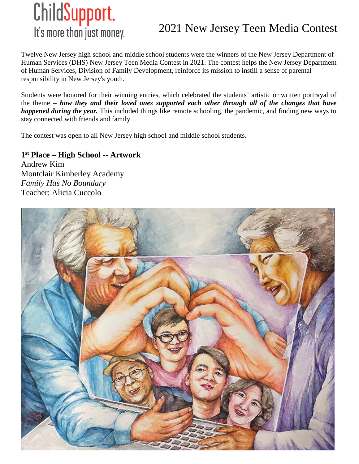

Twelve New Jersey high school and middle school students were the winners of the New Jersey Department of Human Services (DHS) New Jersey Teen Media Contest in 2021. The contest helps the New Jersey Department of Human Services, Division of Family Development, reinforce its mission to instill a sense of parental responsibility in New Jersey's youth.

Students were honored for their winning entries, which celebrated the students' artistic or written portrayal of the theme – *how they and their loved ones supported each other through all of the changes that have happened during the year.* This included things like remote schooling, the pandemic, and finding new ways to stay connected with friends and family.

The contest was open to all New Jersey high school and middle school students.

#### **1st Place – High School -- Artwork**

Andrew Kim Montclair Kimberley Academy *Family Has No Boundary* Teacher: Alicia Cuccolo

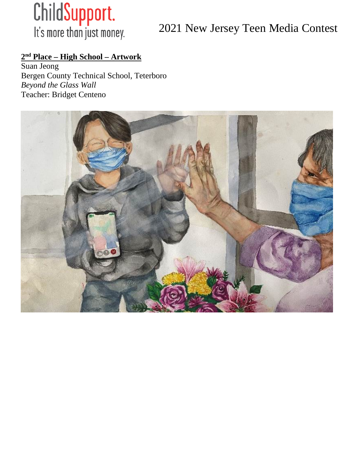

## **2nd Place – High School – Artwork**

Suan Jeong Bergen County Technical School, Teterboro *Beyond the Glass Wall* Teacher: Bridget Centeno

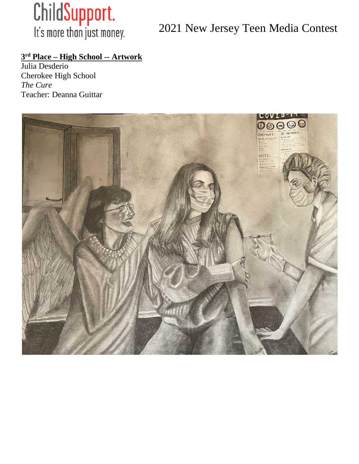

#### **3rd Place – High School -- Artwork**

Julia Desderio Cherokee High School *The Cure* Teacher: Deanna Guittar

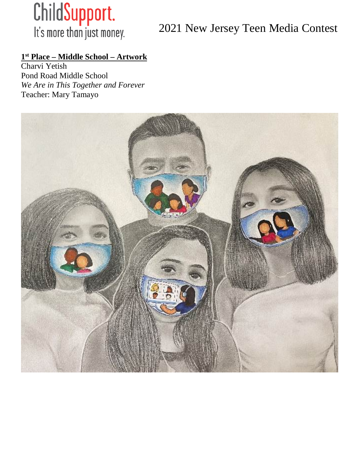

#### **1st Place – Middle School – Artwork**

Charvi Yetish Pond Road Middle School *We Are in This Together and Forever* Teacher: Mary Tamayo

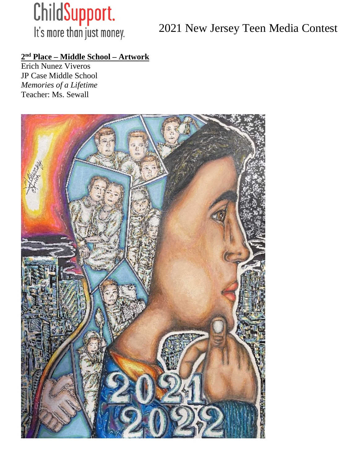

#### **2nd Place – Middle School – Artwork**

Erich Nunez Viveros JP Case Middle School *Memories of a Lifetime* Teacher: Ms. Sewall

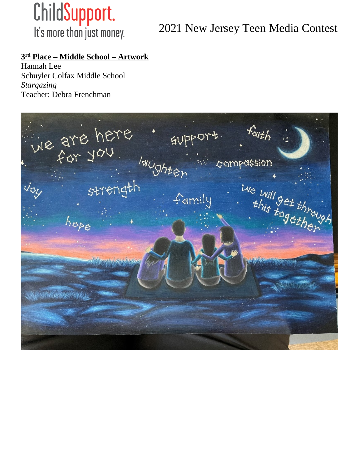

#### **3rd Place – Middle School – Artwork**

Hannah Lee Schuyler Colfax Middle School *Stargazing* Teacher: Debra Frenchman

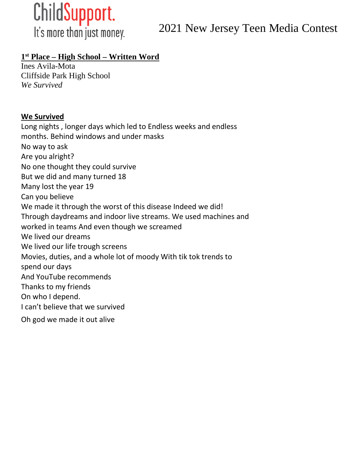

It's more than just money.

2021 New Jersey Teen Media Contest

#### **1st Place – High School – Written Word**

Ines Avila-Mota Cliffside Park High School *We Survived*

#### **We Survived**

Long nights , longer days which led to Endless weeks and endless months. Behind windows and under masks No way to ask Are you alright? No one thought they could survive But we did and many turned 18 Many lost the year 19 Can you believe We made it through the worst of this disease Indeed we did! Through daydreams and indoor live streams. We used machines and worked in teams And even though we screamed We lived our dreams We lived our life trough screens Movies, duties, and a whole lot of moody With tik tok trends to spend our days And YouTube recommends Thanks to my friends On who I depend. I can't believe that we survived Oh god we made it out alive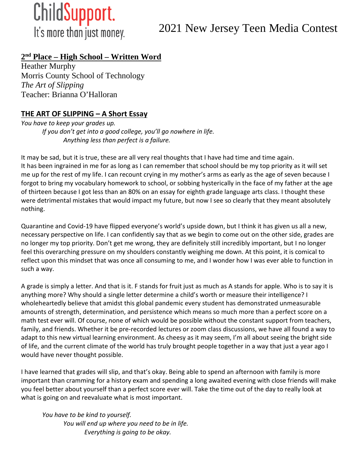

#### **2nd Place – High School – Written Word**

Heather Murphy Morris County School of Technology *The Art of Slipping* Teacher: Brianna O'Halloran

#### **THE ART OF SLIPPING – A Short Essay**

*You have to keep your grades up. If you don't get into a good college, you'll go nowhere in life. Anything less than perfect is a failure.*

It may be sad, but it is true, these are all very real thoughts that I have had time and time again. It has been ingrained in me for as long as I can remember that school should be my top priority as it will set me up for the rest of my life. I can recount crying in my mother's arms as early as the age of seven because I forgot to bring my vocabulary homework to school, or sobbing hysterically in the face of my father at the age of thirteen because I got less than an 80% on an essay for eighth grade language arts class. I thought these were detrimental mistakes that would impact my future, but now I see so clearly that they meant absolutely nothing.

Quarantine and Covid-19 have flipped everyone's world's upside down, but I think it has given us all a new, necessary perspective on life. I can confidently say that as we begin to come out on the other side, grades are no longer my top priority. Don't get me wrong, they are definitely still incredibly important, but I no longer feel this overarching pressure on my shoulders constantly weighing me down. At this point, it is comical to reflect upon this mindset that was once all consuming to me, and I wonder how I was ever able to function in such a way.

A grade is simply a letter. And that is it. F stands for fruit just as much as A stands for apple. Who is to say it is anything more? Why should a single letter determine a child's worth or measure their intelligence? I wholeheartedly believe that amidst this global pandemic every student has demonstrated unmeasurable amounts of strength, determination, and persistence which means so much more than a perfect score on a math test ever will. Of course, none of which would be possible without the constant support from teachers, family, and friends. Whether it be pre-recorded lectures or zoom class discussions, we have all found a way to adapt to this new virtual learning environment. As cheesy as it may seem, I'm all about seeing the bright side of life, and the current climate of the world has truly brought people together in a way that just a year ago I would have never thought possible.

I have learned that grades will slip, and that's okay. Being able to spend an afternoon with family is more important than cramming for a history exam and spending a long awaited evening with close friends will make you feel better about yourself than a perfect score ever will. Take the time out of the day to really look at what is going on and reevaluate what is most important.

*You have to be kind to yourself. You will end up where you need to be in life. Everything is going to be okay.*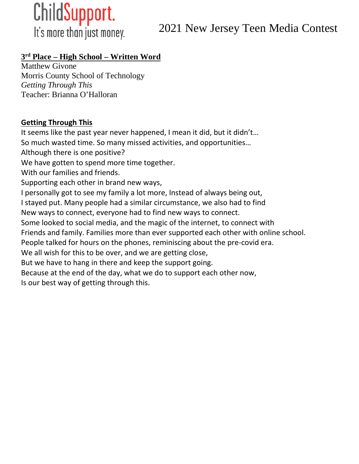

### **3rd Place – High School – Written Word**

Matthew Givone Morris County School of Technology *Getting Through This* Teacher: Brianna O'Halloran

#### **Getting Through This**

It seems like the past year never happened, I mean it did, but it didn't… So much wasted time. So many missed activities, and opportunities… Although there is one positive? We have gotten to spend more time together. With our families and friends. Supporting each other in brand new ways, I personally got to see my family a lot more, Instead of always being out, I stayed put. Many people had a similar circumstance, we also had to find New ways to connect, everyone had to find new ways to connect. Some looked to social media, and the magic of the internet, to connect with Friends and family. Families more than ever supported each other with online school. People talked for hours on the phones, reminiscing about the pre-covid era. We all wish for this to be over, and we are getting close, But we have to hang in there and keep the support going. Because at the end of the day, what we do to support each other now, Is our best way of getting through this.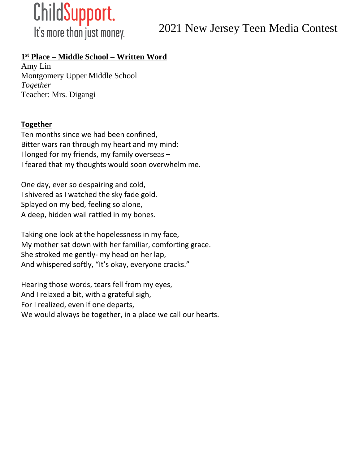

#### **1st Place – Middle School – Written Word**

Amy Lin Montgomery Upper Middle School *Together* Teacher: Mrs. Digangi

#### **Together**

Ten months since we had been confined, Bitter wars ran through my heart and my mind: I longed for my friends, my family overseas – I feared that my thoughts would soon overwhelm me.

One day, ever so despairing and cold, I shivered as I watched the sky fade gold. Splayed on my bed, feeling so alone, A deep, hidden wail rattled in my bones.

Taking one look at the hopelessness in my face, My mother sat down with her familiar, comforting grace. She stroked me gently- my head on her lap, And whispered softly, "It's okay, everyone cracks."

Hearing those words, tears fell from my eyes, And I relaxed a bit, with a grateful sigh, For I realized, even if one departs, We would always be together, in a place we call our hearts.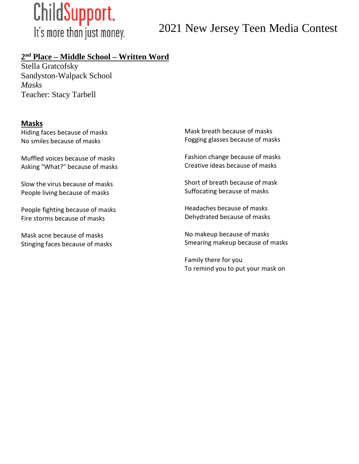

#### **2nd Place – Middle School – Written Word**

Stella Gratcofsky Sandyston-Walpack School *Masks* Teacher: Stacy Tarbell

#### **Masks**

Hiding faces because of masks No smiles because of masks

Muffled voices because of masks Asking "What?" because of masks

Slow the virus because of masks People living because of masks

People fighting because of masks Fire storms because of masks

Mask acne because of masks Stinging faces because of masks Mask breath because of masks Fogging glasses because of masks

Fashion change because of masks Creative ideas because of masks

Short of breath because of mask Suffocating because of masks

Headaches because of masks Dehydrated because of masks

No makeup because of masks Smearing makeup because of masks

Family there for you To remind you to put your mask on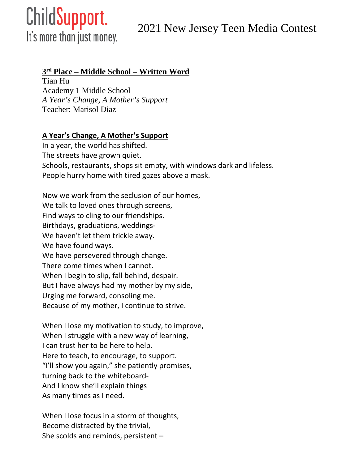# ChildSupport.

2021 New Jersey Teen Media Contest

It's more than just money.

#### **3rd Place – Middle School – Written Word**

Tian Hu Academy 1 Middle School *A Year's Change, A Mother's Support* Teacher: Marisol Diaz

#### **A Year's Change, A Mother's Support**

In a year, the world has shifted. The streets have grown quiet. Schools, restaurants, shops sit empty, with windows dark and lifeless. People hurry home with tired gazes above a mask.

Now we work from the seclusion of our homes, We talk to loved ones through screens, Find ways to cling to our friendships. Birthdays, graduations, weddings-We haven't let them trickle away. We have found ways. We have persevered through change. There come times when I cannot. When I begin to slip, fall behind, despair. But I have always had my mother by my side, Urging me forward, consoling me. Because of my mother, I continue to strive.

When I lose my motivation to study, to improve, When I struggle with a new way of learning, I can trust her to be here to help. Here to teach, to encourage, to support. "I'll show you again," she patiently promises, turning back to the whiteboard-And I know she'll explain things As many times as I need.

When I lose focus in a storm of thoughts, Become distracted by the trivial, She scolds and reminds, persistent –